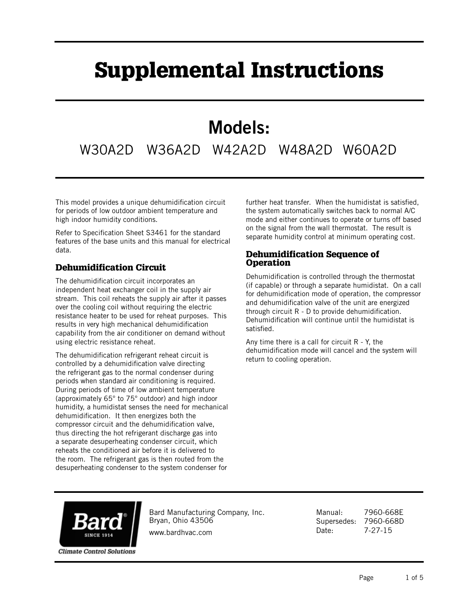## Supplemental Instructions

## Models:

W30A2D W36A2D W42A2D W48A2D W60A2D

This model provides a unique dehumidification circuit for periods of low outdoor ambient temperature and high indoor humidity conditions.

Refer to Specification Sheet S3461 for the standard features of the base units and this manual for electrical data.

## Dehumidification Circuit

The dehumidification circuit incorporates an independent heat exchanger coil in the supply air stream. This coil reheats the supply air after it passes over the cooling coil without requiring the electric resistance heater to be used for reheat purposes. This results in very high mechanical dehumidification capability from the air conditioner on demand without using electric resistance reheat.

The dehumidification refrigerant reheat circuit is controlled by a dehumidification valve directing the refrigerant gas to the normal condenser during periods when standard air conditioning is required. During periods of time of low ambient temperature (approximately 65° to 75° outdoor) and high indoor humidity, a humidistat senses the need for mechanical dehumidification. It then energizes both the compressor circuit and the dehumidification valve, thus directing the hot refrigerant discharge gas into a separate desuperheating condenser circuit, which reheats the conditioned air before it is delivered to the room. The refrigerant gas is then routed from the desuperheating condenser to the system condenser for

further heat transfer. When the humidistat is satisfied, the system automatically switches back to normal A/C mode and either continues to operate or turns off based on the signal from the wall thermostat. The result is separate humidity control at minimum operating cost.

## Dehumidification Sequence of **Operation**

Dehumidification is controlled through the thermostat (if capable) or through a separate humidistat. On a call for dehumidification mode of operation, the compressor and dehumidification valve of the unit are energized through circuit R - D to provide dehumidification. Dehumidification will continue until the humidistat is satisfied.

Any time there is a call for circuit  $R - Y$ , the dehumidification mode will cancel and the system will return to cooling operation.



Bard Manufacturing Company, Inc. Bryan, Ohio 43506 www.bardhvac.com

Manual: 7960-668E Supersedes: 7960-668D Date: 7-27-15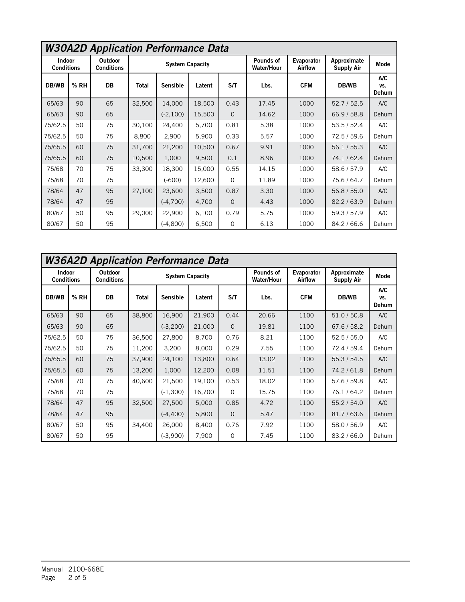|                             | <b>W30A2D Application Performance Data</b> |                              |                        |                                  |        |                                |                              |                                  |                     |       |  |  |  |  |
|-----------------------------|--------------------------------------------|------------------------------|------------------------|----------------------------------|--------|--------------------------------|------------------------------|----------------------------------|---------------------|-------|--|--|--|--|
| Indoor<br><b>Conditions</b> |                                            | Outdoor<br><b>Conditions</b> | <b>System Capacity</b> |                                  |        | Pounds of<br><b>Water/Hour</b> | Evaporator<br><b>Airflow</b> | Approximate<br><b>Supply Air</b> | Mode                |       |  |  |  |  |
| DB/WB                       | % RH                                       | DB                           | <b>Total</b>           | S/T<br><b>Sensible</b><br>Latent |        | Lbs.                           | <b>CFM</b>                   | DB/WB                            | A/C<br>VS.<br>Dehum |       |  |  |  |  |
| 65/63                       | 90                                         | 65                           | 32,500                 | 14,000                           | 18,500 | 0.43                           | 17.45                        | 1000                             | 52.7/52.5           | A/C   |  |  |  |  |
| 65/63                       | 90                                         | 65                           |                        | $(-2, 100)$                      | 15,500 | $\Omega$                       | 14.62                        | 1000                             | 66.9 / 58.8         | Dehum |  |  |  |  |
| 75/62.5                     | 50                                         | 75                           | 30,100                 | 24,400                           | 5,700  | 0.81                           | 5.38                         | 1000                             | 53.5/52.4           | A/C   |  |  |  |  |
| 75/62.5                     | 50                                         | 75                           | 8,800                  | 2,900                            | 5,900  | 0.33                           | 5.57                         | 1000                             | 72.5/59.6           | Dehum |  |  |  |  |
| 75/65.5                     | 60                                         | 75                           | 31,700                 | 21,200                           | 10,500 | 0.67                           | 9.91                         | 1000                             | 56.1/55.3           | A/C   |  |  |  |  |
| 75/65.5                     | 60                                         | 75                           | 10,500                 | 1,000                            | 9,500  | 0.1                            | 8.96                         | 1000                             | 74.1/62.4           | Dehum |  |  |  |  |
| 75/68                       | 70                                         | 75                           | 33,300                 | 18,300                           | 15,000 | 0.55                           | 14.15                        | 1000                             | 58.6 / 57.9         | A/C   |  |  |  |  |
| 75/68                       | 70                                         | 75                           |                        | $(-600)$                         | 12,600 | $\Omega$                       | 11.89                        | 1000                             | 75.6 / 64.7         | Dehum |  |  |  |  |
| 78/64                       | 47                                         | 95                           | 27,100                 | 23,600                           | 3,500  | 0.87                           | 3.30                         | 1000                             | 56.8 / 55.0         | A/C   |  |  |  |  |
| 78/64                       | 47                                         | 95                           |                        | $(-4,700)$                       | 4,700  | $\mathbf 0$                    | 4.43                         | 1000                             | 82.2 / 63.9         | Dehum |  |  |  |  |
| 80/67                       | 50                                         | 95                           | 29,000                 | 22,900                           | 6,100  | 0.79                           | 5.75                         | 1000                             | 59.3/57.9           | A/C   |  |  |  |  |
| 80/67                       | 50                                         | 95                           |                        | (-4,800)                         | 6,500  | 0                              | 6.13                         | 1000                             | 84.2/66.6           | Dehum |  |  |  |  |

|                             | <b>W36A2D Application Performance Data</b> |                                     |                        |                 |        |                                |                              |                                  |             |                            |  |  |  |  |
|-----------------------------|--------------------------------------------|-------------------------------------|------------------------|-----------------|--------|--------------------------------|------------------------------|----------------------------------|-------------|----------------------------|--|--|--|--|
| Indoor<br><b>Conditions</b> |                                            | <b>Outdoor</b><br><b>Conditions</b> | <b>System Capacity</b> |                 |        | Pounds of<br><b>Water/Hour</b> | Evaporator<br><b>Airflow</b> | Approximate<br><b>Supply Air</b> | Mode        |                            |  |  |  |  |
| DB/WB                       | % RH                                       | <b>DB</b>                           | <b>Total</b>           | <b>Sensible</b> | Latent | S/T                            | Lbs.                         | <b>CFM</b>                       | DB/WB       | A/C<br>VS.<br><b>Dehum</b> |  |  |  |  |
| 65/63                       | 90                                         | 65                                  | 38,800                 | 16,900          | 21,900 | 0.44                           | 20.66                        | 1100                             | 51.0 / 50.8 | A/C                        |  |  |  |  |
| 65/63                       | 90                                         | 65                                  |                        | $(-3,200)$      | 21,000 | $\mathbf{O}$                   | 19.81                        | 1100                             | 67.6/58.2   | Dehum                      |  |  |  |  |
| 75/62.5                     | 50                                         | 75                                  | 36,500                 | 27,800          | 8,700  | 0.76                           | 8.21                         | 1100                             | 52.5/55.0   | A/C                        |  |  |  |  |
| 75/62.5                     | 50                                         | 75                                  | 11,200                 | 3,200           | 8,000  | 0.29                           | 7.55                         | 1100                             | 72.4 / 59.4 | Dehum                      |  |  |  |  |
| 75/65.5                     | 60                                         | 75                                  | 37,900                 | 24,100          | 13,800 | 0.64                           | 13.02                        | 1100                             | 55.3 / 54.5 | A/C                        |  |  |  |  |
| 75/65.5                     | 60                                         | 75                                  | 13,200                 | 1,000           | 12,200 | 0.08                           | 11.51                        | 1100                             | 74.2/61.8   | Dehum                      |  |  |  |  |
| 75/68                       | 70                                         | 75                                  | 40,600                 | 21,500          | 19,100 | 0.53                           | 18.02                        | 1100                             | 57.6 / 59.8 | A/C                        |  |  |  |  |
| 75/68                       | 70                                         | 75                                  |                        | $(-1,300)$      | 16,700 | 0                              | 15.75                        | 1100                             | 76.1/64.2   | Dehum                      |  |  |  |  |
| 78/64                       | 47                                         | 95                                  | 32,500                 | 27,500          | 5,000  | 0.85                           | 4.72                         | 1100                             | 55.2/54.0   | A/C                        |  |  |  |  |
| 78/64                       | 47                                         | 95                                  |                        | $(-4, 400)$     | 5,800  | $\Omega$                       | 5.47                         | 1100                             | 81.7/63.6   | Dehum                      |  |  |  |  |
| 80/67                       | 50                                         | 95                                  | 34,400                 | 26,000          | 8,400  | 0.76                           | 7.92                         | 1100                             | 58.0 / 56.9 | A/C                        |  |  |  |  |
| 80/67                       | 50                                         | 95                                  |                        | $(-3,900)$      | 7,900  | 0                              | 7.45                         | 1100                             | 83.2/66.0   | Dehum                      |  |  |  |  |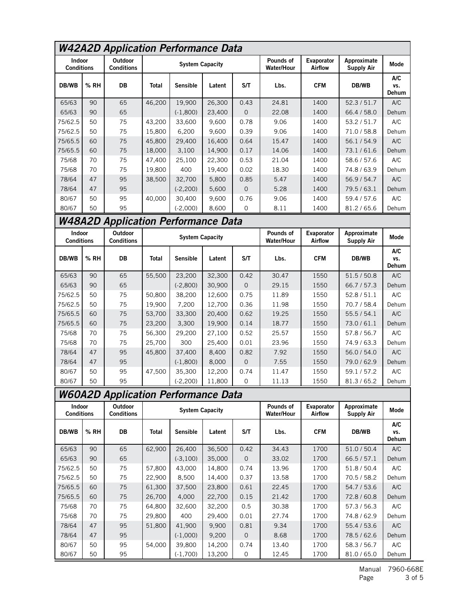| <b>W42A2D Application Performance Data</b> |                                                                                              |                                            |              |                        |            |                     |                                |                       |                                  |                     |  |  |
|--------------------------------------------|----------------------------------------------------------------------------------------------|--------------------------------------------|--------------|------------------------|------------|---------------------|--------------------------------|-----------------------|----------------------------------|---------------------|--|--|
| Indoor<br><b>Conditions</b>                |                                                                                              | <b>Outdoor</b><br><b>Conditions</b>        |              | <b>System Capacity</b> |            |                     | Pounds of<br><b>Water/Hour</b> | Evaporator<br>Airflow | Approximate<br><b>Supply Air</b> | Mode                |  |  |
| DB/WB                                      | % RH                                                                                         | DB                                         | <b>Total</b> | <b>Sensible</b>        | Latent     | S/T                 | Lbs.                           | <b>CFM</b>            | DB/WB                            | A/C<br>VS.<br>Dehum |  |  |
| 65/63                                      | 90                                                                                           | 65                                         | 46,200       | 19,900                 | 26,300     | 0.43                | 24.81                          | 1400                  | 52.3/51.7                        | A/C                 |  |  |
| 65/63                                      | 90                                                                                           | 65                                         |              | $(-1,800)$             | 23,400     | $\mathsf{O}\xspace$ | 22.08                          | 1400                  | 66.4 / 58.0                      | Dehum               |  |  |
| 75/62.5                                    | 50                                                                                           | 75                                         | 43,200       | 33,600                 | 9,600      | 0.78                | 9.06                           | 1400                  | 53.2 / 51.7                      | A/C                 |  |  |
| 75/62.5                                    | 50                                                                                           | 75                                         | 15,800       | 6,200                  | 9,600      | 0.39                | 9.06                           | 1400                  | 71.0 / 58.8                      | Dehum               |  |  |
| 75/65.5                                    | 60                                                                                           | 75                                         | 45,800       | 29,400                 | 16,400     | 0.64                | 15.47                          | 1400                  | 56.1/54.9                        | A/C                 |  |  |
| 75/65.5                                    | 60                                                                                           | 75                                         | 18,000       | 3,100                  | 14,900     | 0.17                | 14.06                          | 1400                  | 73.1/61.6                        | Dehum               |  |  |
| 75/68                                      | 70                                                                                           | 75                                         | 47,400       | 25,100                 | 22,300     | 0.53                | 21.04                          | 1400                  | 58.6 / 57.6                      | A/C                 |  |  |
| 75/68                                      | 70                                                                                           | 75                                         | 19,800       | 400                    | 19,400     | 0.02                | 18.30                          | 1400                  | 74.8/63.9                        | Dehum               |  |  |
| 78/64                                      | 47                                                                                           | 95                                         | 38,500       | 32,700                 | 5,800      | 0.85                | 5.47                           | 1400                  | 56.9/54.7                        | A/C                 |  |  |
| 78/64                                      | 47                                                                                           | 95                                         |              | $(-2, 200)$            | 5,600      | $\mathsf{O}\xspace$ | 5.28                           | 1400                  | 79.5/63.1                        | Dehum               |  |  |
| 80/67                                      | 50                                                                                           | 95                                         | 40.000       | 30,400                 | 9,600      | 0.76                | 9.06                           | 1400                  | 59.4 / 57.6                      | A/C                 |  |  |
| 80/67                                      | 50                                                                                           | 95                                         |              | $(-2,000)$             | 8,600      | $\Omega$            | 8.11                           | 1400                  | 81.2 / 65.6                      | Dehum               |  |  |
|                                            |                                                                                              | <b>W48A2D Application Performance Data</b> |              |                        |            |                     |                                |                       |                                  |                     |  |  |
|                                            | <b>Outdoor</b><br>Indoor<br><b>System Capacity</b><br><b>Conditions</b><br><b>Conditions</b> |                                            |              | Pounds of              | Evaporator | Approximate         | Mode                           |                       |                                  |                     |  |  |
|                                            |                                                                                              |                                            |              |                        |            |                     | <b>Water/Hour</b>              | <b>Airflow</b>        | <b>Supply Air</b>                |                     |  |  |
| DB/WB                                      | % RH                                                                                         | DB                                         | <b>Total</b> | Sensible               | Latent     | S/T                 | Lbs.                           | <b>CFM</b>            | DB/WB                            | A/C<br>VS.<br>Dehum |  |  |
| 65/63                                      | 90                                                                                           | 65                                         | 55,500       | 23,200                 | 32,300     | 0.42                | 30.47                          | 1550                  | 51.5/50.8                        | A/C                 |  |  |
| 65/63                                      | 90                                                                                           | 65                                         |              | $(-2,800)$             | 30,900     | 0                   | 29.15                          | 1550                  | 66.7/57.3                        | Dehum               |  |  |
| 75/62.5                                    | 50                                                                                           | 75                                         | 50,800       | 38,200                 | 12,600     | 0.75                | 11.89                          | 1550                  | 52.8/51.1                        | A/C                 |  |  |
| 75/62.5                                    | 50                                                                                           | 75                                         | 19,900       | 7,200                  | 12,700     | 0.36                | 11.98                          | 1550                  | 70.7 / 58.4                      | Dehum               |  |  |
| 75/65.5                                    | 60                                                                                           | 75                                         | 53,700       | 33,300                 | 20,400     | 0.62                | 19.25                          | 1550                  | 55.5/54.1                        | A/C                 |  |  |
| 75/65.5                                    | 60                                                                                           | 75                                         | 23,200       | 3,300                  | 19,900     | 0.14                | 18.77                          | 1550                  | 73.0/61.1                        | Dehum               |  |  |
| 75/68                                      | 70                                                                                           | 75                                         | 56.300       | 29,200                 | 27,100     | 0.52                | 25.57                          | 1550                  | 57.8 / 56.7                      | A/C                 |  |  |
| 75/68                                      | 70                                                                                           | 75                                         | 25,700       | 300                    | 25,400     | 0.01                | 23.96                          | 1550                  | 74.9/63.3                        | Dehum               |  |  |
| 78/64                                      | 47                                                                                           | 95                                         | 45,800       | 37,400                 | 8,400      | 0.82                | 7.92                           | 1550                  | 56.0 / 54.0                      | A/C                 |  |  |
| 78/64                                      | 47                                                                                           | 95                                         |              | $(-1,800)$             | 8,000      | $\mathbf 0$         | 7.55                           | 1550                  | 79.0 / 62.9                      | Dehum               |  |  |
| 80/67                                      | 50                                                                                           | 95                                         | 47,500       | 35,300                 | 12,200     | 0.74                | 11.47                          | 1550                  | 59.1 / 57.2                      | A/C                 |  |  |
| 80/67                                      | 50                                                                                           | 95                                         |              | $(-2, 200)$            | 11,800     | $\Omega$            | 11.13                          | 1550                  | 81.3 / 65.2                      | Dehum               |  |  |
|                                            |                                                                                              | <b>W60A2D Application Performance Data</b> |              |                        |            |                     |                                |                       |                                  |                     |  |  |

| <b>Conditions</b> |      | <b>Conditions</b> |        | System Capacity |        |              | <b>Water/Hour</b> | <b>Airflow</b> | Supply Air  | moue                       |
|-------------------|------|-------------------|--------|-----------------|--------|--------------|-------------------|----------------|-------------|----------------------------|
| DB/WB             | % RH | DB                | Total  | <b>Sensible</b> | Latent | S/T          | Lbs.              | <b>CFM</b>     | DB/WB       | A/C<br>VS.<br><b>Dehum</b> |
| 65/63             | 90   | 65                | 62,900 | 26,400          | 36,500 | 0.42         | 34.43             | 1700           | 51.0 / 50.4 | A/C                        |
| 65/63             | 90   | 65                |        | $(-3, 100)$     | 35,000 | $\Omega$     | 33.02             | 1700           | 66.5/57.1   | Dehum                      |
| 75/62.5           | 50   | 75                | 57,800 | 43,000          | 14,800 | 0.74         | 13.96             | 1700           | 51.8/50.4   | A/C                        |
| 75/62.5           | 50   | 75                | 22.900 | 8.500           | 14,400 | 0.37         | 13.58             | 1700           | 70.5/58.2   | Dehum                      |
| 75/65.5           | 60   | 75                | 61,300 | 37,500          | 23,800 | 0.61         | 22.45             | 1700           | 54.7/53.6   | A/C                        |
| 75/65.5           | 60   | 75                | 26,700 | 4,000           | 22,700 | 0.15         | 21.42             | 1700           | 72.8/60.8   | Dehum                      |
| 75/68             | 70   | 75                | 64.800 | 32,600          | 32,200 | 0.5          | 30.38             | 1700           | 57.3 / 56.3 | A/C                        |
| 75/68             | 70   | 75                | 29,800 | 400             | 29,400 | 0.01         | 27.74             | 1700           | 74.8/62.9   | Dehum                      |
| 78/64             | 47   | 95                | 51.800 | 41,900          | 9,900  | 0.81         | 9.34              | 1700           | 55.4/53.6   | A/C                        |
| 78/64             | 47   | 95                |        | $(-1,000)$      | 9,200  | $\mathbf{0}$ | 8.68              | 1700           | 78.5/62.6   | Dehum                      |
| 80/67             | 50   | 95                | 54.000 | 39,800          | 14,200 | 0.74         | 13.40             | 1700           | 58.3/56.7   | A/C                        |
| 80/67             | 50   | 95                |        | $(-1,700)$      | 13,200 | 0            | 12.45             | 1700           | 81.0/65.0   | Dehum                      |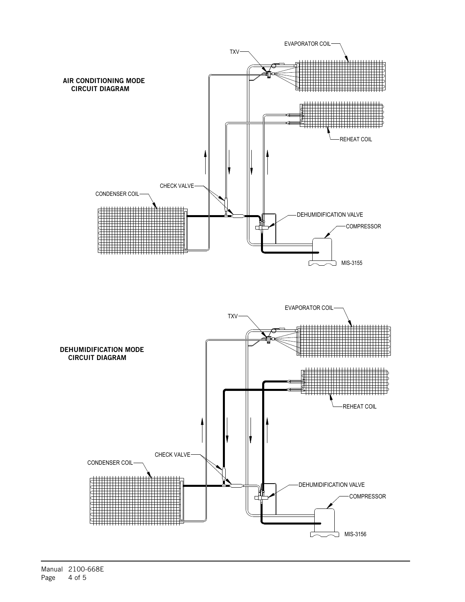